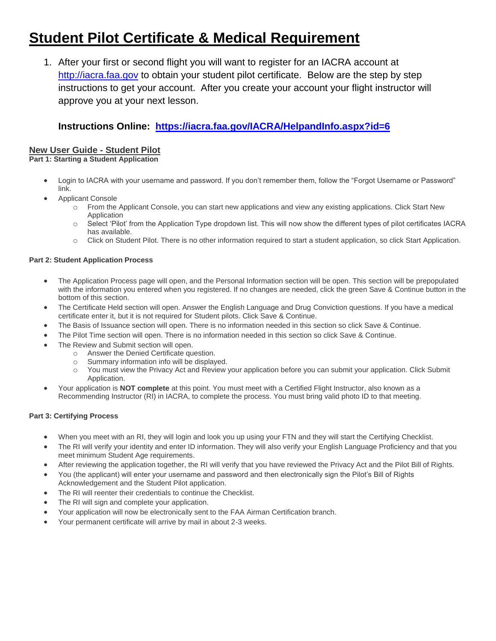# **Student Pilot Certificate & Medical Requirement**

1. After your first or second flight you will want to register for an IACRA account at [http://iacra.faa.gov](http://iacra.faa.gov/) to obtain your student pilot certificate. Below are the step by step instructions to get your account. After you create your account your flight instructor will approve you at your next lesson.

# **Instructions Online: <https://iacra.faa.gov/IACRA/HelpandInfo.aspx?id=6>**

## **New User Guide - Student Pilot**

**Part 1: Starting a Student Application**

- Login to IACRA with your username and password. If you don't remember them, follow the "Forgot Username or Password" link.
- Applicant Console
	- o From the Applicant Console, you can start new applications and view any existing applications. Click Start New Application
	- o Select 'Pilot' from the Application Type dropdown list. This will now show the different types of pilot certificates IACRA has available.
	- o Click on Student Pilot. There is no other information required to start a student application, so click Start Application.

### **Part 2: Student Application Process**

- The Application Process page will open, and the Personal Information section will be open. This section will be prepopulated with the information you entered when you registered. If no changes are needed, click the green Save & Continue button in the bottom of this section.
- The Certificate Held section will open. Answer the English Language and Drug Conviction questions. If you have a medical certificate enter it, but it is not required for Student pilots. Click Save & Continue.
- The Basis of Issuance section will open. There is no information needed in this section so click Save & Continue.
- The Pilot Time section will open. There is no information needed in this section so click Save & Continue.
- The Review and Submit section will open.
	- o Answer the Denied Certificate question.
	- o Summary information info will be displayed.
	- o You must view the Privacy Act and Review your application before you can submit your application. Click Submit Application.
- Your application is **NOT complete** at this point. You must meet with a Certified Flight Instructor, also known as a Recommending Instructor (RI) in IACRA, to complete the process. You must bring valid photo ID to that meeting.

#### **Part 3: Certifying Process**

- When you meet with an RI, they will login and look you up using your FTN and they will start the Certifying Checklist.
- The RI will verify your identity and enter ID information. They will also verify your English Language Proficiency and that you meet minimum Student Age requirements.
- After reviewing the application together, the RI will verify that you have reviewed the Privacy Act and the Pilot Bill of Rights.
- You (the applicant) will enter your username and password and then electronically sign the Pilot's Bill of Rights
- Acknowledgement and the Student Pilot application.
- The RI will reenter their credentials to continue the Checklist.
- The RI will sign and complete your application.
- Your application will now be electronically sent to the FAA Airman Certification branch.
- Your permanent certificate will arrive by mail in about 2-3 weeks.